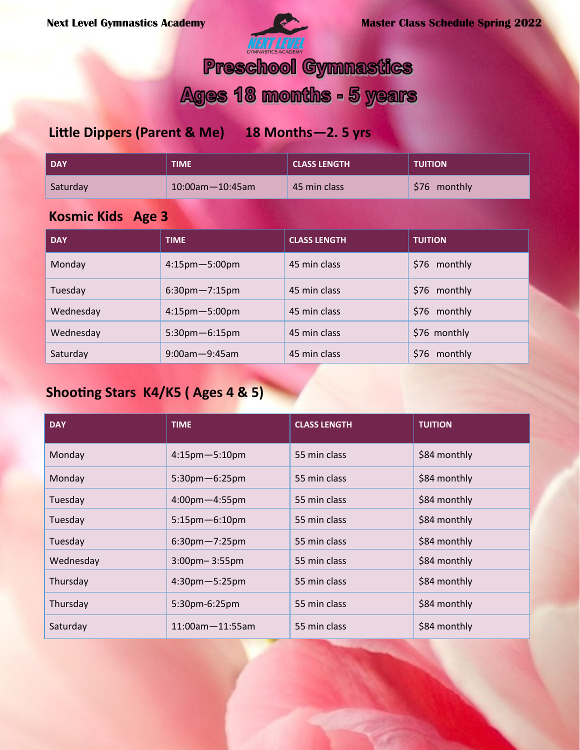

## **Preschool Gymnastics**

# Ages 18 months - 5 years

## **Little Dippers (Parent & Me) 18 Months—2. 5 yrs**

| <b>DAY</b> | <b>TIME</b>            | <b>CLASS LENGTH</b> | <b>TUITION</b> |
|------------|------------------------|---------------------|----------------|
| Saturday   | $10:00$ am $-10:45$ am | 45 min class        | \$76 monthly   |
|            |                        |                     |                |

## **Kosmic Kids Age 3**

| <b>DAY</b> | <b>TIME</b>          | <b>CLASS LENGTH</b> | <b>TUITION</b>        |
|------------|----------------------|---------------------|-----------------------|
| Monday     | $4:15$ pm $-5:00$ pm | 45 min class        | S76<br>monthly        |
| Tuesday    | $6:30$ pm $-7:15$ pm | 45 min class        | \$76 monthly          |
| Wednesday  | $4:15$ pm $-5:00$ pm | 45 min class        | \$76 monthly          |
| Wednesday  | $5:30$ pm $-6:15$ pm | 45 min class        | \$76 monthly          |
| Saturday   | $9:00$ am $-9:45$ am | 45 min class        | monthly<br><b>S76</b> |

## **Shooting Stars K4/K5 ( Ages 4 & 5)**

| <b>DAY</b> | <b>TIME</b>            | <b>CLASS LENGTH</b> | <b>TUITION</b> |
|------------|------------------------|---------------------|----------------|
| Monday     | $4:15$ pm $-5:10$ pm   | 55 min class        | \$84 monthly   |
| Monday     | 5:30pm-6:25pm          | 55 min class        | \$84 monthly   |
| Tuesday    | $4:00$ pm $-4:55$ pm   | 55 min class        | \$84 monthly   |
| Tuesday    | $5:15$ pm $-6:10$ pm   | 55 min class        | \$84 monthly   |
| Tuesday    | $6:30$ pm $-7:25$ pm   | 55 min class        | \$84 monthly   |
| Wednesday  | $3:00$ pm $-3:55$ pm   | 55 min class        | \$84 monthly   |
| Thursday   | $4:30$ pm $-5:25$ pm   | 55 min class        | \$84 monthly   |
| Thursday   | 5:30pm-6:25pm          | 55 min class        | \$84 monthly   |
| Saturday   | $11:00$ am $-11:55$ am | 55 min class        | \$84 monthly   |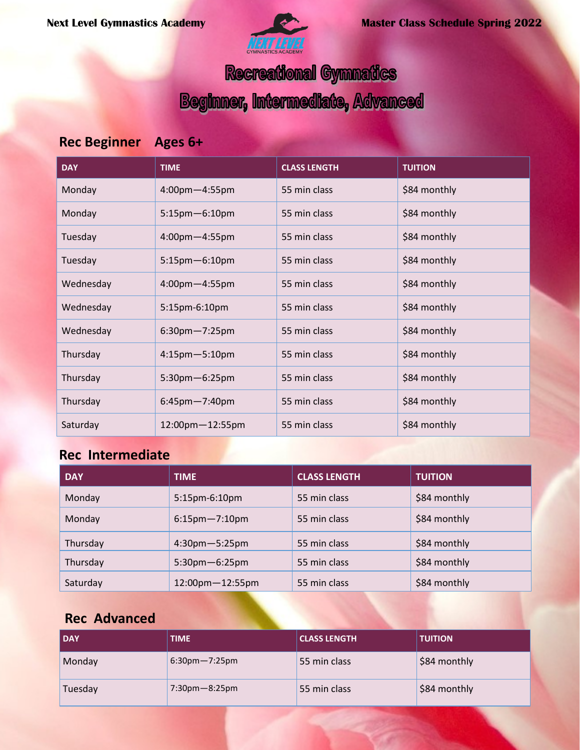

# Recreational Gymnatics

**Beginner, Intermediate, Advanced** 

## **Rec Beginner Ages 6+**

| <b>DAY</b> | <b>TIME</b>          | <b>CLASS LENGTH</b> | <b>TUITION</b> |
|------------|----------------------|---------------------|----------------|
| Monday     | 4:00pm-4:55pm        | 55 min class        | \$84 monthly   |
| Monday     | $5:15$ pm $-6:10$ pm | 55 min class        | \$84 monthly   |
| Tuesday    | $4:00$ pm $-4:55$ pm | 55 min class        | \$84 monthly   |
| Tuesday    | $5:15$ pm $-6:10$ pm | 55 min class        | \$84 monthly   |
| Wednesday  | 4:00pm-4:55pm        | 55 min class        | \$84 monthly   |
| Wednesday  | 5:15pm-6:10pm        | 55 min class        | \$84 monthly   |
| Wednesday  | $6:30$ pm $-7:25$ pm | 55 min class        | \$84 monthly   |
| Thursday   | $4:15$ pm $-5:10$ pm | 55 min class        | \$84 monthly   |
| Thursday   | $5:30$ pm $-6:25$ pm | 55 min class        | \$84 monthly   |
| Thursday   | $6:45$ pm $-7:40$ pm | 55 min class        | \$84 monthly   |
| Saturday   | 12:00pm-12:55pm      | 55 min class        | \$84 monthly   |

#### **Rec Intermediate**

| <b>DAY</b> | <b>TIME</b>          | <b>CLASS LENGTH</b> | <b>TUITION</b> |
|------------|----------------------|---------------------|----------------|
| Monday     | 5:15pm-6:10pm        | 55 min class        | \$84 monthly   |
| Monday     | $6:15$ pm $-7:10$ pm | 55 min class        | \$84 monthly   |
| Thursday   | $4:30$ pm $-5:25$ pm | 55 min class        | \$84 monthly   |
| Thursday   | $5:30$ pm $-6:25$ pm | 55 min class        | \$84 monthly   |
| Saturday   | 12:00pm-12:55pm      | 55 min class        | \$84 monthly   |

## **Rec Advanced**

| <b>DAY</b> | <b>TIME</b>          | <b>CLASS LENGTH</b> | <b>TUITION</b> |
|------------|----------------------|---------------------|----------------|
| Monday     | $6:30$ pm $-7:25$ pm | 55 min class        | \$84 monthly   |
| Tuesday    | $7:30$ pm $-8:25$ pm | 55 min class        | \$84 monthly   |